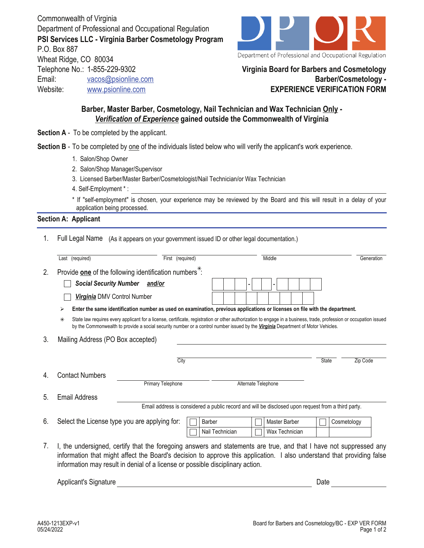Commonwealth of Virginia Department of Professional and Occupational Regulation **PSI Services LLC - Virginia Barber Cosmetology Program** P.O. Box 887 Wheat Ridge, CO 80034 Telephone No.: 1-855-229-9302 Email: vacos@psionline.com Website: www.psionline.com



Department of Professional and Occupational Regulation

## **Virginia Board for Barbers and Cosmetology EXPERIENCE VERIFICATION FORM Barber/Cosmetology -**

## *Verification of Experience* **gained outside the Commonwealth of Virginia Barber, Master Barber, Cosmetology, Nail Technician and Wax Technician Only -**

**Section A** - To be completed by the applicant.

**Section B** - To be completed by one of the individuals listed below who will verify the applicant's work experience.

- 1. Salon/Shop Owner
- 2. Salon/Shop Manager/Supervisor
- 3. Licensed Barber/Master Barber/Cosmetologist/Nail Technician/or Wax Technician
- 4. Self-Employment \* :

\* If "self-employment" is chosen, your experience may be reviewed by the Board and this will result in a delay of your application being processed.

## **Section A: Applicant**

1. Full Legal Name (As it appears on your government issued ID or other legal documentation.)

|    | Last (required)                                                                                                                                                                                                                                                                                                                | First (required)         |                     | Middle                                                                                             |              | Generation  |  |
|----|--------------------------------------------------------------------------------------------------------------------------------------------------------------------------------------------------------------------------------------------------------------------------------------------------------------------------------|--------------------------|---------------------|----------------------------------------------------------------------------------------------------|--------------|-------------|--|
| 2. | Provide one of the following identification numbers <sup>*</sup> :                                                                                                                                                                                                                                                             |                          |                     |                                                                                                    |              |             |  |
|    | Social Security Number and/or                                                                                                                                                                                                                                                                                                  |                          |                     |                                                                                                    |              |             |  |
|    | Virginia DMV Control Number                                                                                                                                                                                                                                                                                                    |                          |                     |                                                                                                    |              |             |  |
|    | Enter the same identification number as used on examination, previous applications or licenses on file with the department.<br>⋗                                                                                                                                                                                               |                          |                     |                                                                                                    |              |             |  |
|    | State law requires every applicant for a license, certificate, registration or other authorization to engage in a business, trade, profession or occupation issued<br>⋇<br>by the Commonwealth to provide a social security number or a control number issued by the Virginia Department of Motor Vehicles.                    |                          |                     |                                                                                                    |              |             |  |
| 3. | Mailing Address (PO Box accepted)                                                                                                                                                                                                                                                                                              |                          |                     |                                                                                                    |              |             |  |
|    |                                                                                                                                                                                                                                                                                                                                | City                     |                     |                                                                                                    | <b>State</b> | Zip Code    |  |
| 4. | <b>Contact Numbers</b>                                                                                                                                                                                                                                                                                                         |                          |                     |                                                                                                    |              |             |  |
|    |                                                                                                                                                                                                                                                                                                                                | <b>Primary Telephone</b> | Alternate Telephone |                                                                                                    |              |             |  |
| 5. | Email Address                                                                                                                                                                                                                                                                                                                  |                          |                     |                                                                                                    |              |             |  |
|    |                                                                                                                                                                                                                                                                                                                                |                          |                     | Email address is considered a public record and will be disclosed upon request from a third party. |              |             |  |
| 6. | Select the License type you are applying for:                                                                                                                                                                                                                                                                                  |                          | Barber              | Master Barber                                                                                      |              | Cosmetology |  |
|    |                                                                                                                                                                                                                                                                                                                                |                          | Nail Technician     | Wax Technician                                                                                     |              |             |  |
| 7. | I, the undersigned, certify that the foregoing answers and statements are true, and that I have not suppressed any<br>information that might affect the Board's decision to approve this application. I also understand that providing false<br>information may result in denial of a license or possible disciplinary action. |                          |                     |                                                                                                    |              |             |  |

Applicant's Signature **Date** Date of *Applicant's* Signature Date of *Date* Date of *Date* Date of *Date* Date of *Date* Date of *Date* of *Date* of *Date* of *Date* of *Date* of *Date* of *Date* of *Date* of *Date* of *Da*